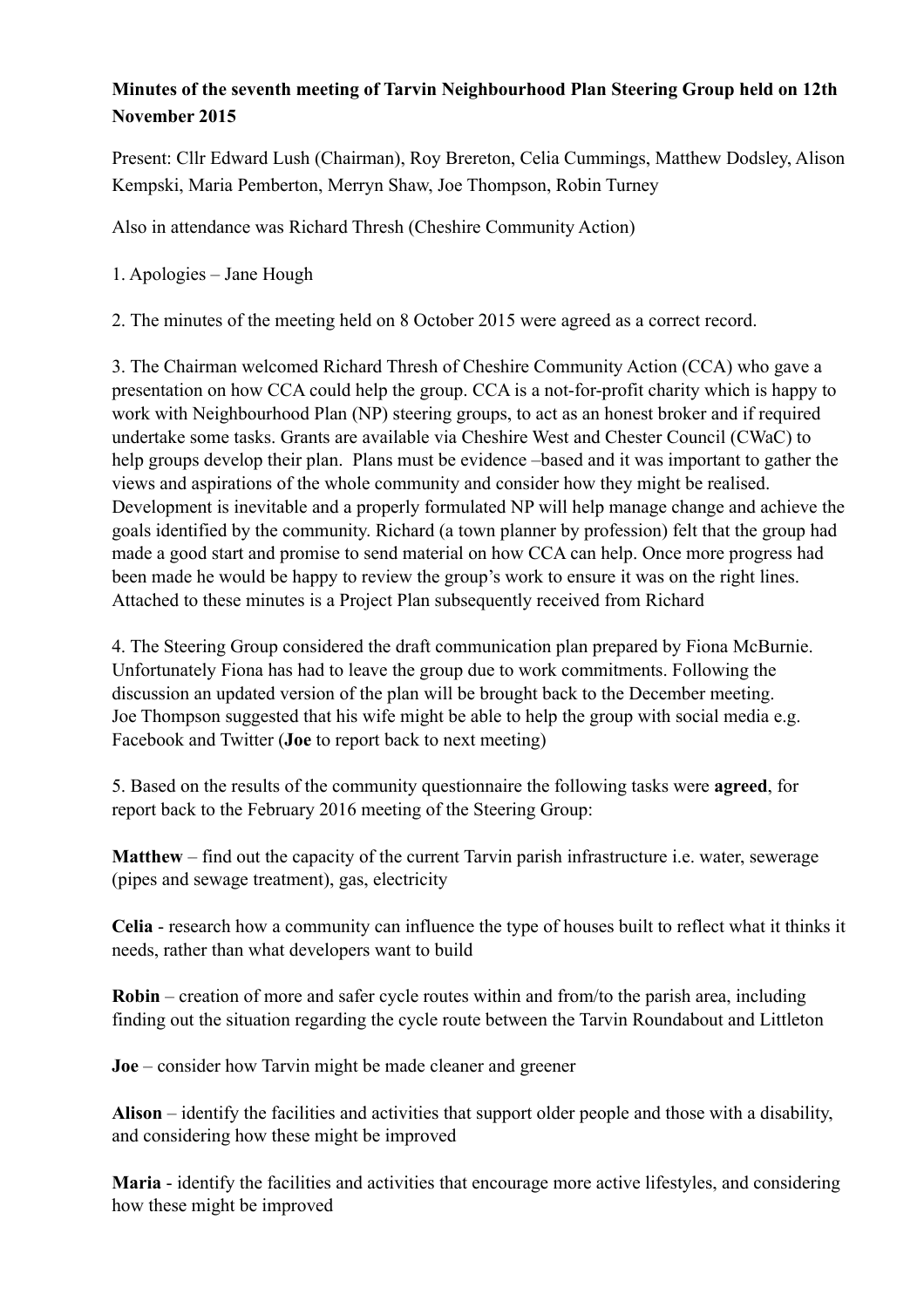## **Minutes of the seventh meeting of Tarvin Neighbourhood Plan Steering Group held on 12th November 2015**

Present: Cllr Edward Lush (Chairman), Roy Brereton, Celia Cummings, Matthew Dodsley, Alison Kempski, Maria Pemberton, Merryn Shaw, Joe Thompson, Robin Turney

Also in attendance was Richard Thresh (Cheshire Community Action)

1. Apologies – Jane Hough

2. The minutes of the meeting held on 8 October 2015 were agreed as a correct record.

3. The Chairman welcomed Richard Thresh of Cheshire Community Action (CCA) who gave a presentation on how CCA could help the group. CCA is a not-for-profit charity which is happy to work with Neighbourhood Plan (NP) steering groups, to act as an honest broker and if required undertake some tasks. Grants are available via Cheshire West and Chester Council (CWaC) to help groups develop their plan. Plans must be evidence –based and it was important to gather the views and aspirations of the whole community and consider how they might be realised. Development is inevitable and a properly formulated NP will help manage change and achieve the goals identified by the community. Richard (a town planner by profession) felt that the group had made a good start and promise to send material on how CCA can help. Once more progress had been made he would be happy to review the group's work to ensure it was on the right lines. Attached to these minutes is a Project Plan subsequently received from Richard

4. The Steering Group considered the draft communication plan prepared by Fiona McBurnie. Unfortunately Fiona has had to leave the group due to work commitments. Following the discussion an updated version of the plan will be brought back to the December meeting. Joe Thompson suggested that his wife might be able to help the group with social media e.g. Facebook and Twitter (**Joe** to report back to next meeting)

5. Based on the results of the community questionnaire the following tasks were **agreed**, for report back to the February 2016 meeting of the Steering Group:

**Matthew** – find out the capacity of the current Tarvin parish infrastructure i.e. water, sewerage (pipes and sewage treatment), gas, electricity

**Celia** - research how a community can influence the type of houses built to reflect what it thinks it needs, rather than what developers want to build

**Robin** – creation of more and safer cycle routes within and from/to the parish area, including finding out the situation regarding the cycle route between the Tarvin Roundabout and Littleton

**Joe** – consider how Tarvin might be made cleaner and greener

**Alison** – identify the facilities and activities that support older people and those with a disability, and considering how these might be improved

**Maria** - identify the facilities and activities that encourage more active lifestyles, and considering how these might be improved